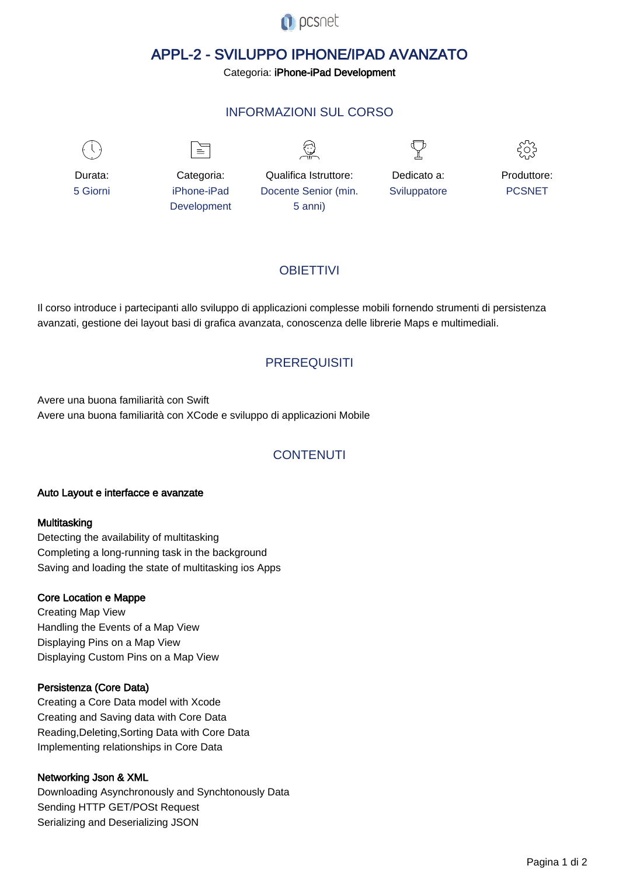

# APPL-2 - SVILUPPO IPHONE/IPAD AVANZATO

Categoria: iPhone-iPad Development

# INFORMAZIONI SUL CORSO

 $\overline{a}$ 



Durata: 5 Giorni

Categoria: iPhone-iPad Development

 $\equiv$ 

Qualifica Istruttore: Docente Senior (min. 5 anni)



Dedicato a: **Sviluppatore** 



Produttore: PCSNET

# **OBIFTTIVI**

Il corso introduce i partecipanti allo sviluppo di applicazioni complesse mobili fornendo strumenti di persistenza avanzati, gestione dei layout basi di grafica avanzata, conoscenza delle librerie Maps e multimediali.

## **PREREQUISITI**

Avere una buona familiarità con Swift Avere una buona familiarità con XCode e sviluppo di applicazioni Mobile

# **CONTENUTI**

#### Auto Layout e interfacce e avanzate

#### **Multitasking**

Detecting the availability of multitasking Completing a long-running task in the background Saving and loading the state of multitasking ios Apps

#### Core Location e Mappe

Creating Map View Handling the Events of a Map View Displaying Pins on a Map View Displaying Custom Pins on a Map View

### Persistenza (Core Data)

Creating a Core Data model with Xcode Creating and Saving data with Core Data Reading,Deleting,Sorting Data with Core Data Implementing relationships in Core Data

### Networking Json & XML

Downloading Asynchronously and Synchtonously Data Sending HTTP GET/POSt Request Serializing and Deserializing JSON